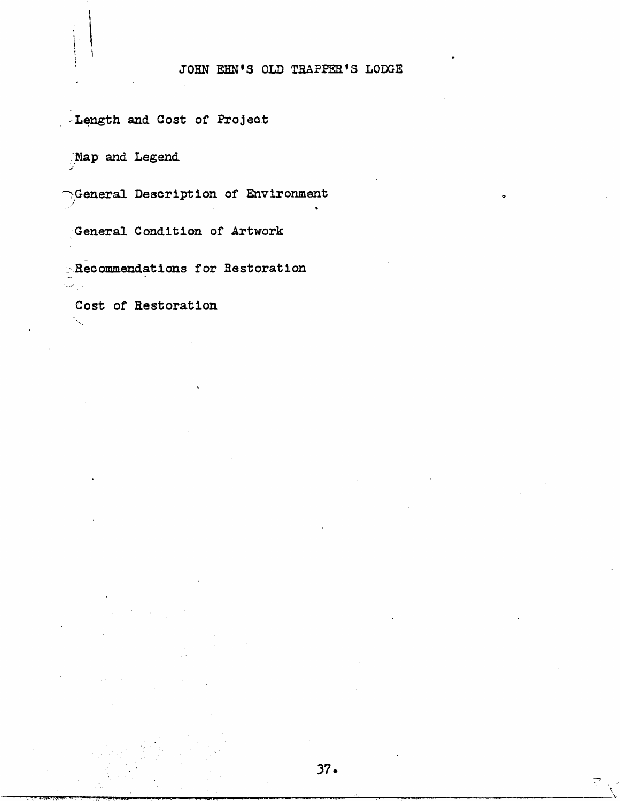## JOHN EHN'S OLD TRAPPER'S LODGE

Length and Cost of Project

Map and Legend

Ceneral Description of Environment

General Condition of Artwork

Recommendations for Restoration

Cost of Restoration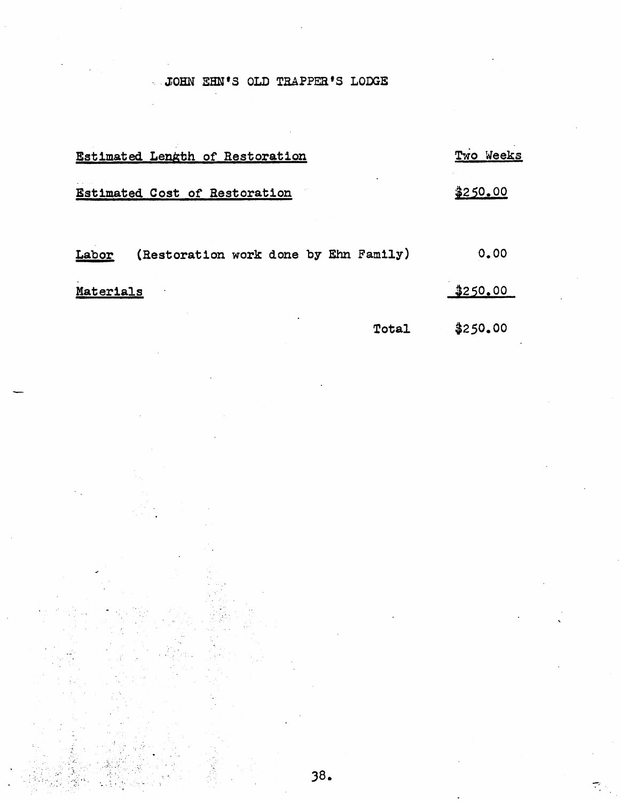# JOHN EHN'S OLD TRAPPER'S LODGE

| Estimated Length of Restoration                | Two Weeks |
|------------------------------------------------|-----------|
| Estimated Cost of Restoration                  | 250.00    |
| (Restoration work done by Ehn Family)<br>Labor | 0.00      |
| Materials                                      | \$250.00  |
| Total                                          | \$250.00  |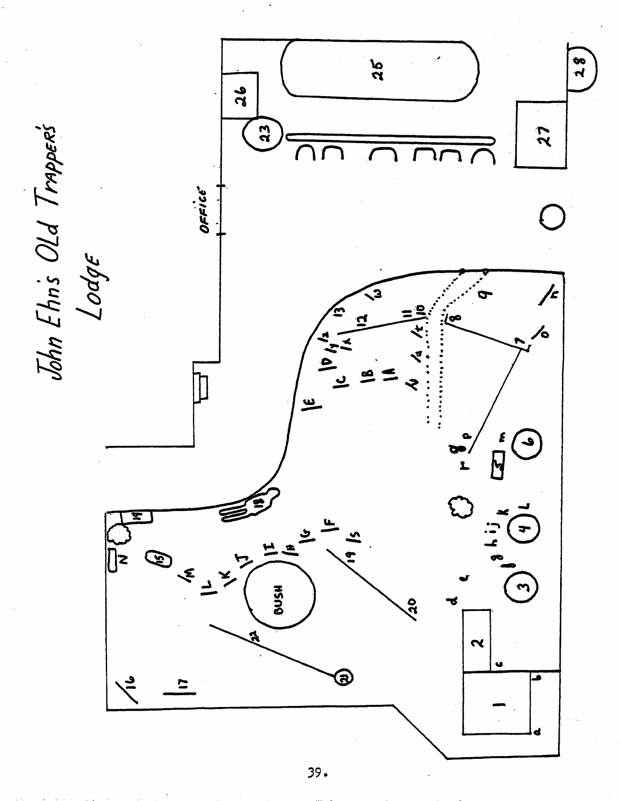

 $39.$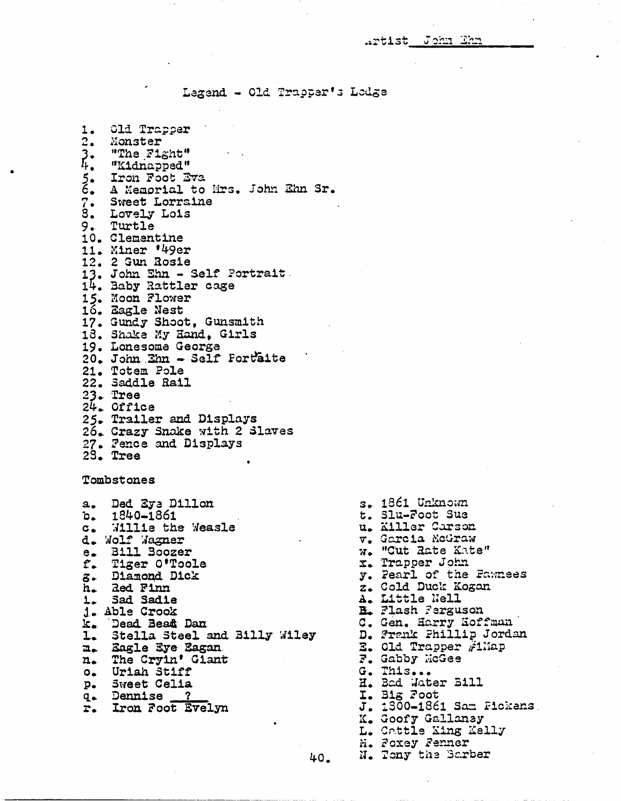Legend - Old Trapper's Lodge

| 1.              | Old Trapper                                                                                                                                        |
|-----------------|----------------------------------------------------------------------------------------------------------------------------------------------------|
|                 | 2. Monster                                                                                                                                         |
|                 |                                                                                                                                                    |
|                 |                                                                                                                                                    |
|                 | 3. "The Fight"<br>4. "Kidnapped"<br>5. Iron Foot Eva<br>6. A Memorial to Mrs. John Ehn Sr.<br>7. Sweet Lorraine<br>3. Lovely Lois<br>0. Tuntle     |
|                 |                                                                                                                                                    |
|                 |                                                                                                                                                    |
|                 |                                                                                                                                                    |
|                 | 9. Turtle                                                                                                                                          |
|                 | 10. Clementine<br>11. Miner '49er<br>12. 2 Gun Rosie<br>13. John Ehn - Self Portrait<br>14. Baby Rattler cage<br>15. Moon Flower<br>16. Eagle Nest |
|                 |                                                                                                                                                    |
|                 |                                                                                                                                                    |
|                 |                                                                                                                                                    |
|                 |                                                                                                                                                    |
|                 |                                                                                                                                                    |
|                 |                                                                                                                                                    |
|                 | 17. Gundy Shoot, Gunsmith                                                                                                                          |
|                 |                                                                                                                                                    |
|                 | 18. Shake My Hand, Girls<br>19. Lonesome George                                                                                                    |
|                 |                                                                                                                                                    |
|                 | 20. John Ehn - Self Fortaite                                                                                                                       |
|                 | 21. Totem Pole                                                                                                                                     |
|                 | 22. Saddle Rail                                                                                                                                    |
|                 | $23.$ Tree                                                                                                                                         |
|                 | $24.$ Office                                                                                                                                       |
|                 | 25. Trailer and Displays                                                                                                                           |
|                 | 26. Crazy Snake with 2 Slaves                                                                                                                      |
|                 | 27. Fence and Displays                                                                                                                             |
|                 | 29. Tree                                                                                                                                           |
|                 |                                                                                                                                                    |
|                 | Tombstones                                                                                                                                         |
|                 |                                                                                                                                                    |
|                 | a. Ded Eye Dillon                                                                                                                                  |
|                 | $b. 1840 - 1861$                                                                                                                                   |
|                 | c. Willie the Weasle                                                                                                                               |
|                 | d. Wolf Wagner                                                                                                                                     |
|                 | e. Bill Boozer                                                                                                                                     |
|                 | f. Tiger O'Toole                                                                                                                                   |
|                 | z. Diamond Dick                                                                                                                                    |
| h.              | <b>Red Finn</b>                                                                                                                                    |
| 1.              | Sad Sadie                                                                                                                                          |
| $j_{\bullet}$ . | Able Crook                                                                                                                                         |
| k.              | Dead Bead Dan                                                                                                                                      |
| ı.              | Stella Steel and Billy Wiley                                                                                                                       |
| n.              | Eagle Eye Eagan                                                                                                                                    |
| n.              | The Cryin' Giant                                                                                                                                   |
| $O_{\bullet}$   | Uriah Stiff                                                                                                                                        |
| $p_{\bullet}$   | Sweet Celia                                                                                                                                        |
| $q_{\bullet}$   | $\overline{2}$<br><b>Dennise</b>                                                                                                                   |
| r.              | Iron Foot Evelyn                                                                                                                                   |
|                 |                                                                                                                                                    |

s. 1861 Unknown t. Slu-Foot Sue u. Killer Carson  $v_$ . Garcia McGraw w. "Cut Rate Kate"  $x$ . Trapper John y. Pearl of the Faunees z. Cold Duck Kogan A. Little Nell **B.** Flash Ferguson C. Gen. Harry Hoffman Frank Phillip Jordan Old Trapper ,#1Hap F. Gabby HcGee G. This... H. Bad Water Bill I. Big Foot J. 1300-1861 Sam Fickens. K. Goofy Gallaney L. Cattle King Kelly M. Foxey Fenner N. Tony the Barber

40.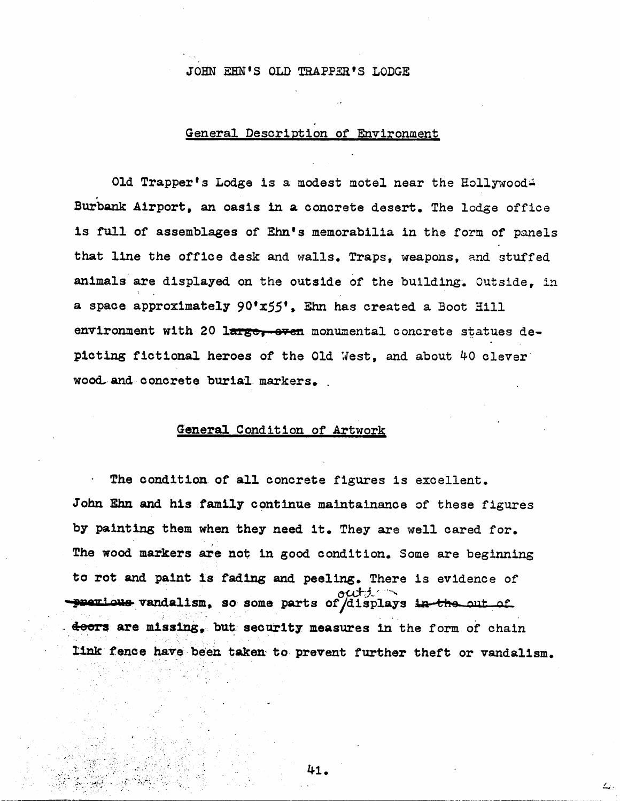## JOHN EHN'S OLD TRAPPER'S LODGE

## General Description of Environment

Old Trapper's Lodge is a modest motel near the Hollywood. Burbank Airport, an oasis in a concrete desert. The lodge office is full of assemblages of Ehn's memorabilia in the form of panels that line the office desk and walls. Traps, weapons, and stuffed animals are displayed on the outside of the building. Outside, in a space approximately 90'x55', Ehn has created a Boot Hill environment with 20 large, even monumental concrete statues depicting fictional heroes of the Old West, and about 40 clever wood and concrete burial markers.

#### General Condition of Artwork

The condition of all concrete figures is excellent. John Ehn and his family continue maintalnance of these figures by painting them when they need it. They are well cared for. The wood markers are not in good condition. Some are beginning to rot and paint is fading and peeling. There is evidence of out 1  $-$  previous vandalism, so some parts of  $\overline{\text{div}}$  and  $\overline{\text{div}}$  and  $\overline{\text{div}}$ doors are missing. but security measures in the form of chain link fence have been taken to prevent further theft or vandalism.

^1.